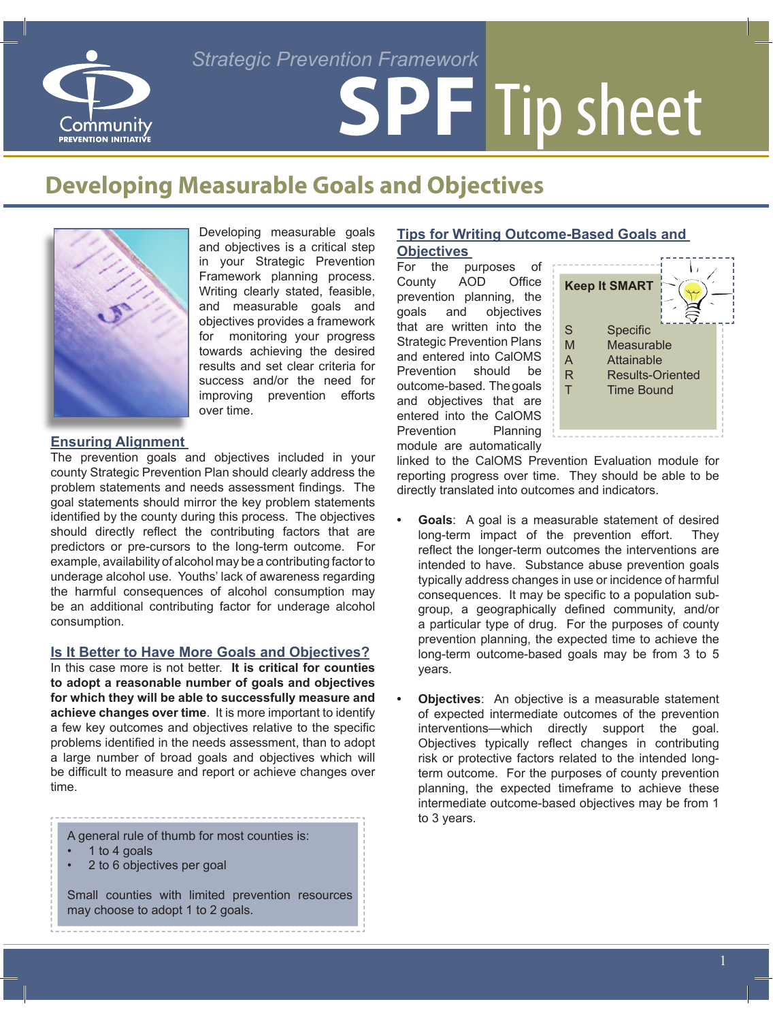# Community PREVENTION INITIATIVE

# **SPF** Tip sheet *Strategic Prevention Framework*

# **Developing Measurable Goals and Objectives**



Developing measurable goals and objectives is a critical step in your Strategic Prevention Framework planning process. Writing clearly stated, feasible, and measurable goals and objectives provides a framework for monitoring your progress towards achieving the desired results and set clear criteria for success and/or the need for improving prevention efforts over time.

### **Ensuring Alignment**

The prevention goals and objectives included in your county Strategic Prevention Plan should clearly address the problem statements and needs assessment findings. The goal statements should mirror the key problem statements identified by the county during this process. The objectives should directly reflect the contributing factors that are predictors or pre-cursors to the long-term outcome. For example, availability of alcohol may be a contributing factor to underage alcohol use. Youths' lack of awareness regarding the harmful consequences of alcohol consumption may be an additional contributing factor for underage alcohol consumption.

#### **Is It Better to Have More Goals and Objectives?**

In this case more is not better. **It is critical for counties to adopt a reasonable number of goals and objectives for which they will be able to successfully measure and achieve changes over time**. It is more important to identify a few key outcomes and objectives relative to the specific problems identified in the needs assessment, than to adopt a large number of broad goals and objectives which will be difficult to measure and report or achieve changes over time.

A general rule of thumb for most counties is:

- 1 to 4 goals
- 2 to 6 objectives per goal

Small counties with limited prevention resources may choose to adopt 1 to 2 goals.

## **Tips for Writing Outcome-Based Goals and**

**Objectives**<br>For the pu purposes of County AOD Office prevention planning, the goals and objectives that are written into the Strategic Prevention Plans and entered into CalOMS Prevention should be outcome-based. The goals and objectives that are entered into the CalOMS Prevention Planning module are automatically



linked to the CalOMS Prevention Evaluation module for reporting progress over time. They should be able to be directly translated into outcomes and indicators.

- **Goals:** A goal is a measurable statement of desired long-term impact of the prevention effort. They reflect the longer-term outcomes the interventions are intended to have. Substance abuse prevention goals typically address changes in use or incidence of harmful consequences. It may be specific to a population subgroup, a geographically defined community, and/or a particular type of drug. For the purposes of county prevention planning, the expected time to achieve the long-term outcome-based goals may be from 3 to 5 years.
- **Objectives:** An objective is a measurable statement of expected intermediate outcomes of the prevention interventions—which directly support the goal. Objectives typically reflect changes in contributing risk or protective factors related to the intended longterm outcome. For the purposes of county prevention planning, the expected timeframe to achieve these intermediate outcome-based objectives may be from 1 to 3 years.

1